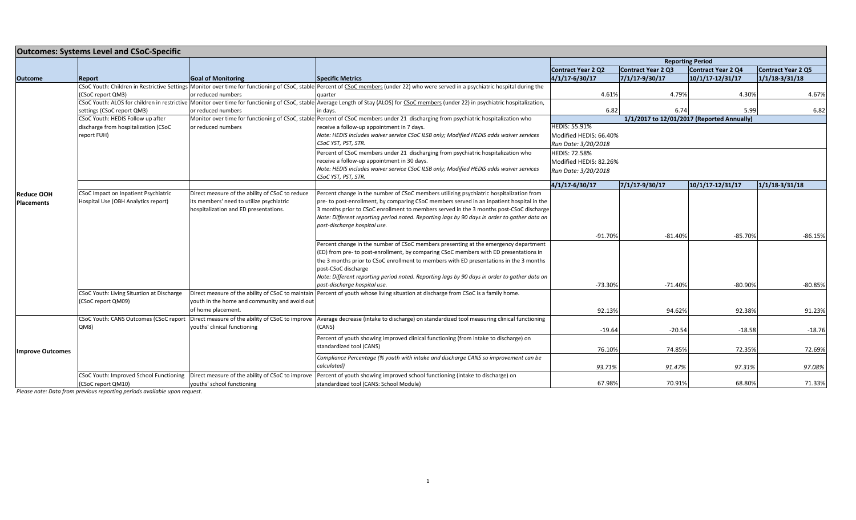| <b>Outcomes: Systems Level and CSoC-Specific</b> |                                           |                                                 |                                                                                                                                                                                          |                                            |                         |                      |                           |
|--------------------------------------------------|-------------------------------------------|-------------------------------------------------|------------------------------------------------------------------------------------------------------------------------------------------------------------------------------------------|--------------------------------------------|-------------------------|----------------------|---------------------------|
|                                                  |                                           |                                                 |                                                                                                                                                                                          |                                            | <b>Reporting Period</b> |                      |                           |
|                                                  |                                           |                                                 |                                                                                                                                                                                          | <b>Contract Year 2 Q2</b>                  | Contract Year 2 Q3      | Contract Year 2 Q4   | <b>Contract Year 2 Q5</b> |
| <b>Outcome</b>                                   | <b>Report</b>                             | <b>Goal of Monitoring</b>                       | <b>Specific Metrics</b>                                                                                                                                                                  | 4/1/17-6/30/17                             | $7/1/17 - 9/30/17$      | $10/1/17 - 12/31/17$ | $1/1/18 - 3/31/18$        |
|                                                  |                                           |                                                 | CSoC Youth: Children in Restrictive Settings Monitor over time for functioning of CSoC, stable Percent of CSoC members (under 22) who were served in a psychiatric hospital during the   |                                            |                         |                      |                           |
|                                                  | (CSoC report QM3)                         | or reduced numbers                              | quarter                                                                                                                                                                                  | 4.61%                                      | 4.79%                   | 4.30%                | 4.67%                     |
|                                                  |                                           |                                                 | CSoC Youth: ALOS for children in restrictive Monitor over time for functioning of CSoC, stable Average Length of Stay (ALOS) for CSoC members (under 22) in psychiatric hospitalization, |                                            |                         |                      | 6.82                      |
|                                                  | settings (CSoC report QM3)                | or reduced numbers                              | in days.                                                                                                                                                                                 | 6.82<br>5.99<br>6.74                       |                         |                      |                           |
|                                                  | CSoC Youth: HEDIS Follow up after         | or reduced numbers                              | Monitor over time for functioning of CSoC, stable Percent of CSoC members under 21 discharging from psychiatric hospitalization who                                                      | 1/1/2017 to 12/01/2017 (Reported Annually) |                         |                      |                           |
|                                                  | discharge from hospitalization (CSoC      | receive a follow-up appointment in 7 days.      | <b>HEDIS: 55.91%</b>                                                                                                                                                                     |                                            |                         |                      |                           |
|                                                  | report FUH)                               |                                                 | Note: HEDIS includes waiver service CSoC ILSB only; Modified HEDIS adds waiver services                                                                                                  | Modified HEDIS: 66.40%                     |                         |                      |                           |
|                                                  |                                           |                                                 | CSoC YST, PST, STR.                                                                                                                                                                      | Run Date: 3/20/2018                        |                         |                      |                           |
|                                                  |                                           |                                                 | Percent of CSoC members under 21 discharging from psychiatric hospitalization who                                                                                                        | <b>HEDIS: 72.58%</b>                       |                         |                      |                           |
|                                                  |                                           |                                                 | receive a follow-up appointment in 30 days.                                                                                                                                              | Modified HEDIS: 82.26%                     |                         |                      |                           |
|                                                  |                                           |                                                 | Note: HEDIS includes waiver service CSoC ILSB only; Modified HEDIS adds waiver services                                                                                                  | Run Date: 3/20/2018                        |                         |                      |                           |
|                                                  |                                           |                                                 | CSoC YST, PST, STR.                                                                                                                                                                      |                                            |                         |                      |                           |
|                                                  |                                           |                                                 |                                                                                                                                                                                          | $\sqrt{4/1/17-6/30/17}$                    | 7/1/17-9/30/17          | 10/1/17 12/31/17     | $1/1/18$ 3/31/18          |
| <b>Reduce OOH</b>                                | CSoC Impact on Inpatient Psychiatric      | Direct measure of the ability of CSoC to reduce | Percent change in the number of CSoC members utilizing psychiatric hospitalization from                                                                                                  |                                            |                         |                      |                           |
| <b>Placements</b>                                | Hospital Use (OBH Analytics report)       | its members' need to utilize psychiatric        | pre- to post-enrollment, by comparing CSoC members served in an inpatient hospital in the                                                                                                |                                            |                         |                      |                           |
|                                                  |                                           | hospitalization and ED presentations.           | 3 months prior to CSoC enrollment to members served in the 3 months post-CSoC discharge                                                                                                  |                                            |                         |                      |                           |
|                                                  |                                           |                                                 | Note: Different reporting period noted. Reporting lags by 90 days in order to gather data on                                                                                             |                                            |                         |                      |                           |
|                                                  |                                           |                                                 | post-discharge hospital use.                                                                                                                                                             |                                            |                         |                      |                           |
|                                                  |                                           |                                                 |                                                                                                                                                                                          | $-91.70%$                                  | $-81.40%$               | $-85.70%$            | $-86.15%$                 |
|                                                  |                                           |                                                 | Percent change in the number of CSoC members presenting at the emergency department                                                                                                      |                                            |                         |                      |                           |
|                                                  |                                           |                                                 | (ED) from pre- to post-enrollment, by comparing CSoC members with ED presentations in                                                                                                    |                                            |                         |                      |                           |
|                                                  |                                           |                                                 | the 3 months prior to CSoC enrollment to members with ED presentations in the 3 months                                                                                                   |                                            |                         |                      |                           |
|                                                  |                                           |                                                 | post-CSoC discharge                                                                                                                                                                      |                                            |                         |                      |                           |
|                                                  |                                           |                                                 | Note: Different reporting period noted. Reporting lags by 90 days in order to gather data on                                                                                             |                                            |                         |                      |                           |
|                                                  |                                           |                                                 | post-discharge hospital use.                                                                                                                                                             | -73.30%                                    | $-71.40%$               | $-80.90%$            | $-80.85%$                 |
|                                                  | CSoC Youth: Living Situation at Discharge |                                                 | Direct measure of the ability of CSoC to maintain Percent of youth whose living situation at discharge from CSoC is a family home.                                                       |                                            |                         |                      |                           |
|                                                  | (CSoC report QM09)                        | youth in the home and community and avoid out   |                                                                                                                                                                                          |                                            |                         |                      |                           |
|                                                  |                                           | of home placement.                              |                                                                                                                                                                                          | 92.13%                                     | 94.62%                  | 92.38%               | 91.23%                    |
| <b>Improve Outcomes</b>                          | CSoC Youth: CANS Outcomes (CSoC report    |                                                 | Direct measure of the ability of CSoC to improve Average decrease (intake to discharge) on standardized tool measuring clinical functioning                                              |                                            |                         |                      |                           |
|                                                  | QM8)                                      | youths' clinical functioning                    | (CANS)                                                                                                                                                                                   | $-19.64$                                   | $-20.54$                | $-18.58$             | $-18.76$                  |
|                                                  |                                           |                                                 | Percent of youth showing improved clinical functioning (from intake to discharge) on                                                                                                     |                                            |                         |                      |                           |
|                                                  |                                           |                                                 | standardized tool (CANS)                                                                                                                                                                 | 76.10%                                     | 74.85%                  | 72.35%               | 72.69%                    |
|                                                  |                                           |                                                 | Compliance Percentage (% youth with intake and discharge CANS so improvement can be                                                                                                      |                                            |                         |                      |                           |
|                                                  |                                           |                                                 | calculated)                                                                                                                                                                              |                                            |                         |                      |                           |
|                                                  |                                           |                                                 |                                                                                                                                                                                          | 93.71%                                     | 91.47%                  | 97.31%               | 97.08%                    |
|                                                  |                                           |                                                 | CSoC Youth: Improved School Functioning Direct measure of the ability of CSoC to improve Percent of youth showing improved school functioning (intake to discharge) on                   |                                            |                         |                      |                           |
|                                                  | (CSoC report QM10)                        | vouths' school functioning                      | standardized tool (CANS: School Module)                                                                                                                                                  | 67.98%                                     | 70.91%                  | 68.80%               | 71.33%                    |

*Please note: Data from previous reporting periods available upon request.*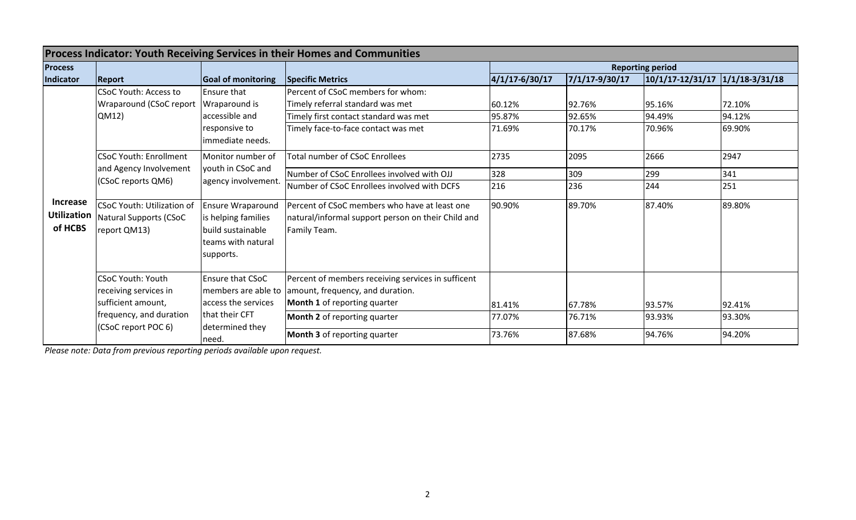| <b>Process Indicator: Youth Receiving Services in their Homes and Communities</b> |                                                                                                                                    |                                                                                                         |                                                                                                                                                               |                            |                            |                                 |                            |  |  |
|-----------------------------------------------------------------------------------|------------------------------------------------------------------------------------------------------------------------------------|---------------------------------------------------------------------------------------------------------|---------------------------------------------------------------------------------------------------------------------------------------------------------------|----------------------------|----------------------------|---------------------------------|----------------------------|--|--|
| <b>Process</b>                                                                    |                                                                                                                                    |                                                                                                         |                                                                                                                                                               | <b>Reporting period</b>    |                            |                                 |                            |  |  |
| Indicator                                                                         | <b>Report</b>                                                                                                                      | <b>Goal of monitoring</b>                                                                               | <b>Specific Metrics</b>                                                                                                                                       | 4/1/17-6/30/17             | 7/1/17-9/30/17             | 10/1/17-12/31/17 1/1/18-3/31/18 |                            |  |  |
| <b>Increase</b><br><b>Utilization</b><br>of HCBS                                  | <b>CSoC Youth: Access to</b><br>Wraparound (CSoC report<br>QM12)                                                                   | <b>Ensure that</b><br>Wraparound is<br>accessible and<br>responsive to<br>immediate needs.              | <b>IPercent of CSoC members for whom:</b><br>Timely referral standard was met<br>Timely first contact standard was met<br>Timely face-to-face contact was met | 60.12%<br>95.87%<br>71.69% | 92.76%<br>92.65%<br>70.17% | 95.16%<br>94.49%<br>70.96%      | 72.10%<br>94.12%<br>69.90% |  |  |
|                                                                                   | <b>CSoC Youth: Enrollment</b><br>and Agency Involvement<br>(CSoC reports QM6)                                                      | Monitor number of<br>youth in CSoC and<br>agency involvement.                                           | Total number of CSoC Enrollees<br>Number of CSoC Enrollees involved with OJJ                                                                                  | 2735<br>328                | 2095<br>309                | 2666<br>299                     | 2947<br>341                |  |  |
|                                                                                   |                                                                                                                                    |                                                                                                         | Number of CSoC Enrollees involved with DCFS                                                                                                                   | 216                        | 236                        | 244                             | 251                        |  |  |
|                                                                                   | <b>CSoC Youth: Utilization of</b><br>Natural Supports (CSoC<br>report QM13)                                                        | <b>Ensure Wraparound</b><br>is helping families<br>build sustainable<br>teams with natural<br>supports. | Percent of CSoC members who have at least one<br>natural/informal support person on their Child and<br>Family Team.                                           | 90.90%                     | 89.70%                     | 87.40%                          | 89.80%                     |  |  |
|                                                                                   | <b>CSoC Youth: Youth</b><br>receiving services in<br>sufficient amount,<br>frequency, and duration<br>(CSoC report POC 6)<br>need. | Ensure that CSoC<br>access the services                                                                 | Percent of members receiving services in sufficent<br>members are able to amount, frequency, and duration.<br>Month 1 of reporting quarter                    | 81.41%                     | 67.78%                     | 93.57%                          | 92.41%                     |  |  |
|                                                                                   |                                                                                                                                    | that their CFT<br>determined they                                                                       | <b>Month 2</b> of reporting quarter                                                                                                                           | 77.07%                     | 76.71%                     | 93.93%                          | 93.30%                     |  |  |
|                                                                                   |                                                                                                                                    |                                                                                                         | <b>Month 3</b> of reporting quarter                                                                                                                           | 73.76%                     | 87.68%                     | 94.76%                          | 94.20%                     |  |  |

*Please note: Data from previous reporting periods available upon request.*